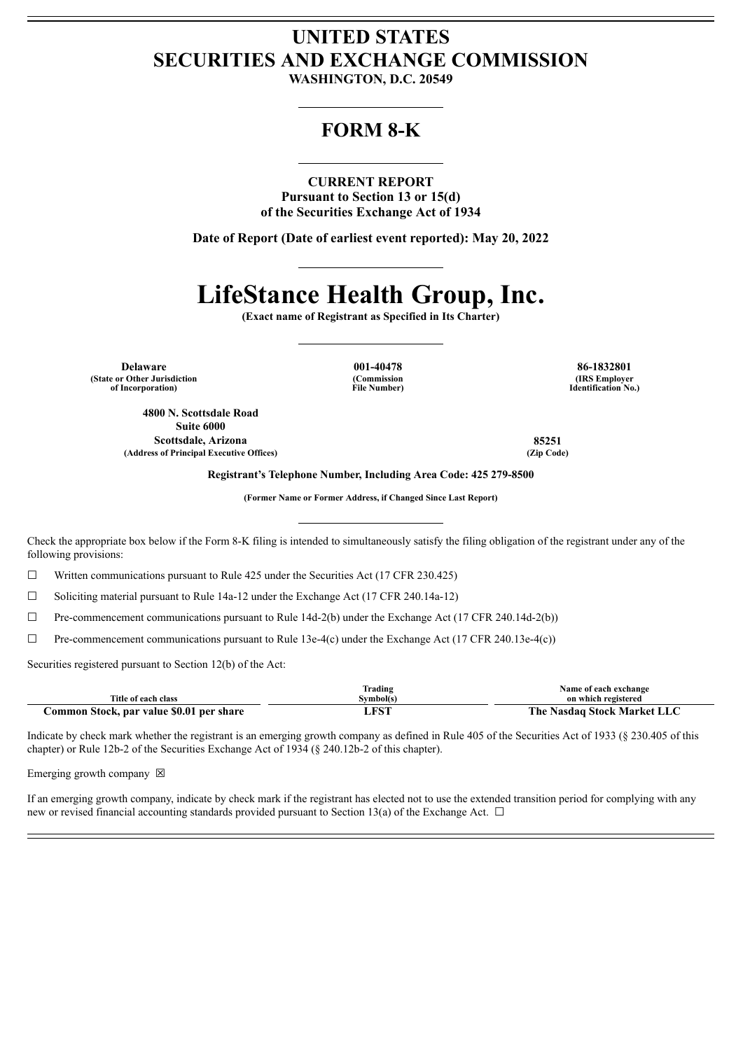## **UNITED STATES SECURITIES AND EXCHANGE COMMISSION**

**WASHINGTON, D.C. 20549**

### **FORM 8-K**

#### **CURRENT REPORT**

**Pursuant to Section 13 or 15(d) of the Securities Exchange Act of 1934**

**Date of Report (Date of earliest event reported): May 20, 2022**

# **LifeStance Health Group, Inc.**

**(Exact name of Registrant as Specified in Its Charter)**

**(Commission File Number)**

**Delaware 001-40478 86-1832801 (State or Other Jurisdiction of Incorporation)**

**4800 N. Scottsdale Road Suite 6000 Scottsdale, Arizona 85251 (Address of Principal Executive Offices) (Zip Code)**

**(IRS Employer Identification No.)**

**Registrant's Telephone Number, Including Area Code: 425 279-8500**

**(Former Name or Former Address, if Changed Since Last Report)**

Check the appropriate box below if the Form 8-K filing is intended to simultaneously satisfy the filing obligation of the registrant under any of the following provisions:

 $\Box$  Written communications pursuant to Rule 425 under the Securities Act (17 CFR 230.425)

☐ Soliciting material pursuant to Rule 14a-12 under the Exchange Act (17 CFR 240.14a-12)

 $\Box$  Pre-commencement communications pursuant to Rule 14d-2(b) under the Exchange Act (17 CFR 240.14d-2(b))

 $\Box$  Pre-commencement communications pursuant to Rule 13e-4(c) under the Exchange Act (17 CFR 240.13e-4(c))

Securities registered pursuant to Section 12(b) of the Act:

|                                          | Trading   | Name of each exchange       |
|------------------------------------------|-----------|-----------------------------|
| Title of each class                      | Svmbol(s) | on which registered         |
| Common Stock, par value \$0.01 per share | . DCT     | The Nasdaq Stock Market LLC |

Indicate by check mark whether the registrant is an emerging growth company as defined in Rule 405 of the Securities Act of 1933 (§ 230.405 of this chapter) or Rule 12b-2 of the Securities Exchange Act of 1934 (§ 240.12b-2 of this chapter).

Emerging growth company  $\boxtimes$ 

If an emerging growth company, indicate by check mark if the registrant has elected not to use the extended transition period for complying with any new or revised financial accounting standards provided pursuant to Section 13(a) of the Exchange Act.  $\Box$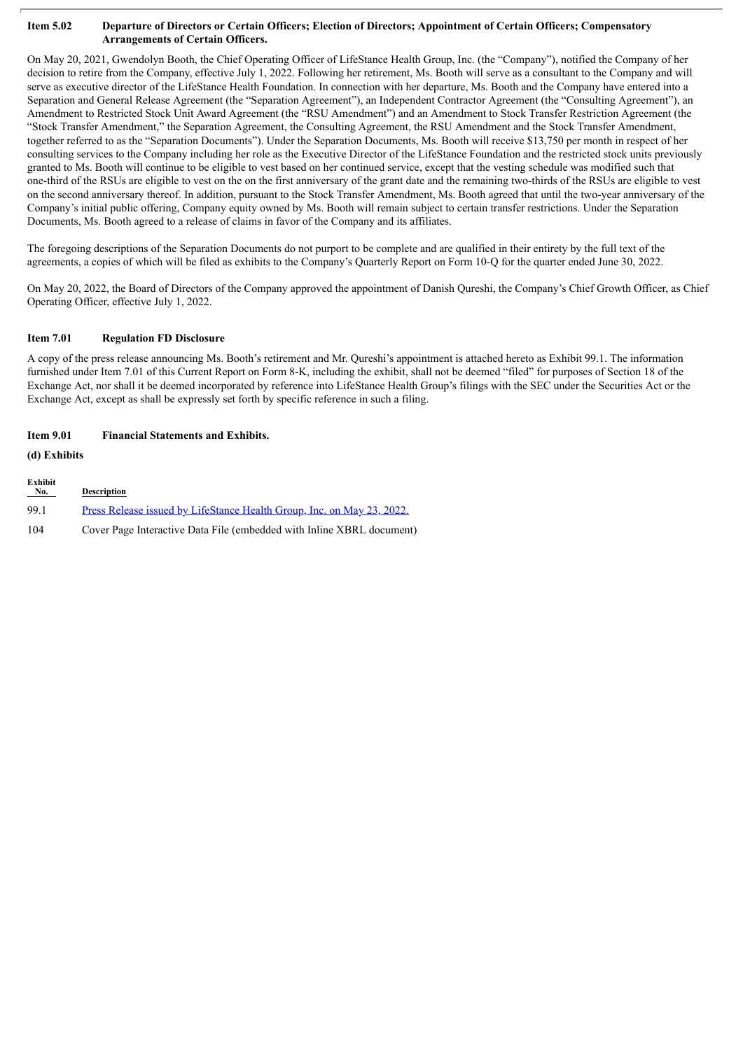#### Item 5.02 Departure of Directors or Certain Officers; Election of Directors; Appointment of Certain Officers; Compensatory **Arrangements of Certain Officers.**

On May 20, 2021, Gwendolyn Booth, the Chief Operating Officer of LifeStance Health Group, Inc. (the "Company"), notified the Company of her decision to retire from the Company, effective July 1, 2022. Following her retirement, Ms. Booth will serve as a consultant to the Company and will serve as executive director of the LifeStance Health Foundation. In connection with her departure, Ms. Booth and the Company have entered into a Separation and General Release Agreement (the "Separation Agreement"), an Independent Contractor Agreement (the "Consulting Agreement"), an Amendment to Restricted Stock Unit Award Agreement (the "RSU Amendment") and an Amendment to Stock Transfer Restriction Agreement (the "Stock Transfer Amendment," the Separation Agreement, the Consulting Agreement, the RSU Amendment and the Stock Transfer Amendment, together referred to as the "Separation Documents"). Under the Separation Documents, Ms. Booth will receive \$13,750 per month in respect of her consulting services to the Company including her role as the Executive Director of the LifeStance Foundation and the restricted stock units previously granted to Ms. Booth will continue to be eligible to vest based on her continued service, except that the vesting schedule was modified such that one-third of the RSUs are eligible to vest on the on the first anniversary of the grant date and the remaining two-thirds of the RSUs are eligible to vest on the second anniversary thereof. In addition, pursuant to the Stock Transfer Amendment, Ms. Booth agreed that until the two-year anniversary of the Company's initial public offering, Company equity owned by Ms. Booth will remain subject to certain transfer restrictions. Under the Separation Documents, Ms. Booth agreed to a release of claims in favor of the Company and its affiliates.

The foregoing descriptions of the Separation Documents do not purport to be complete and are qualified in their entirety by the full text of the agreements, a copies of which will be filed as exhibits to the Company's Quarterly Report on Form 10-Q for the quarter ended June 30, 2022.

On May 20, 2022, the Board of Directors of the Company approved the appointment of Danish Qureshi, the Company's Chief Growth Officer, as Chief Operating Officer, effective July 1, 2022.

#### **Item 7.01 Regulation FD Disclosure**

A copy of the press release announcing Ms. Booth's retirement and Mr. Qureshi's appointment is attached hereto as Exhibit 99.1. The information furnished under Item 7.01 of this Current Report on Form 8-K, including the exhibit, shall not be deemed "filed" for purposes of Section 18 of the Exchange Act, nor shall it be deemed incorporated by reference into LifeStance Health Group's filings with the SEC under the Securities Act or the Exchange Act, except as shall be expressly set forth by specific reference in such a filing.

#### **Item 9.01 Financial Statements and Exhibits.**

#### **(d) Exhibits**

| Exhibit<br>No. | <b>Description</b>                                                     |
|----------------|------------------------------------------------------------------------|
| 99.1           | Press Release issued by LifeStance Health Group, Inc. on May 23, 2022. |
| 104            | Cover Page Interactive Data File (embedded with Inline XBRL document)  |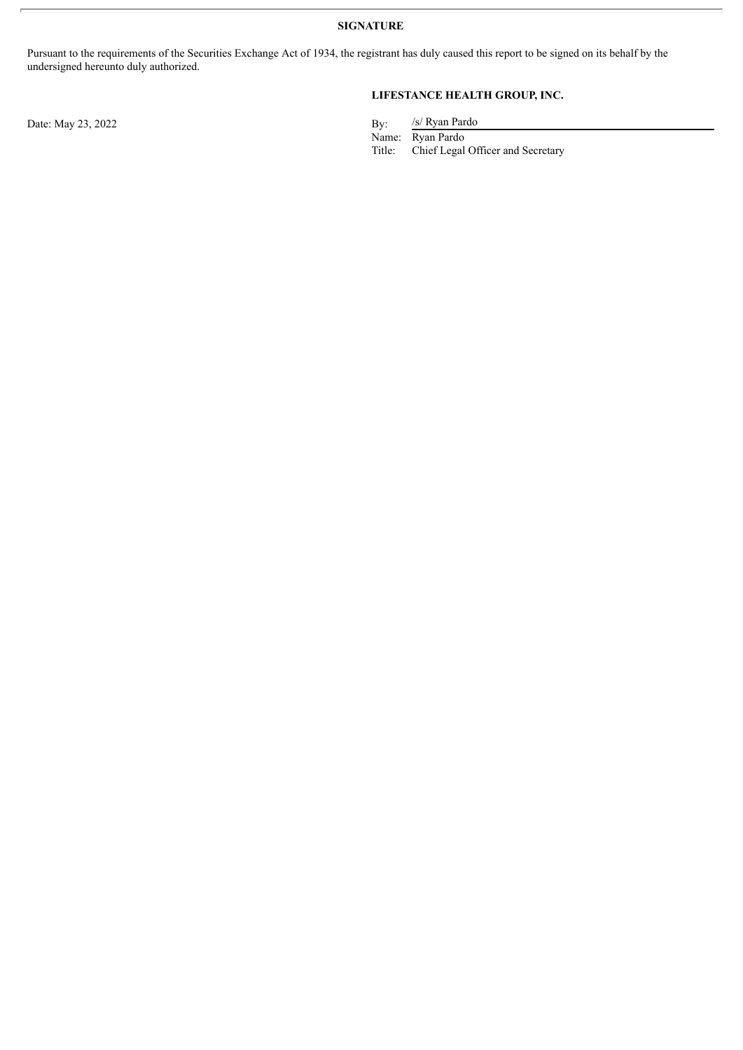**SIGNATURE**

Pursuant to the requirements of the Securities Exchange Act of 1934, the registrant has duly caused this report to be signed on its behalf by the undersigned hereunto duly authorized.

Date: May 23, 2022 By:

#### **LIFESTANCE HEALTH GROUP, INC.**

/s/ Ryan Pardo

Name: Ryan Pardo<br>Title: Chief Legal

Chief Legal Officer and Secretary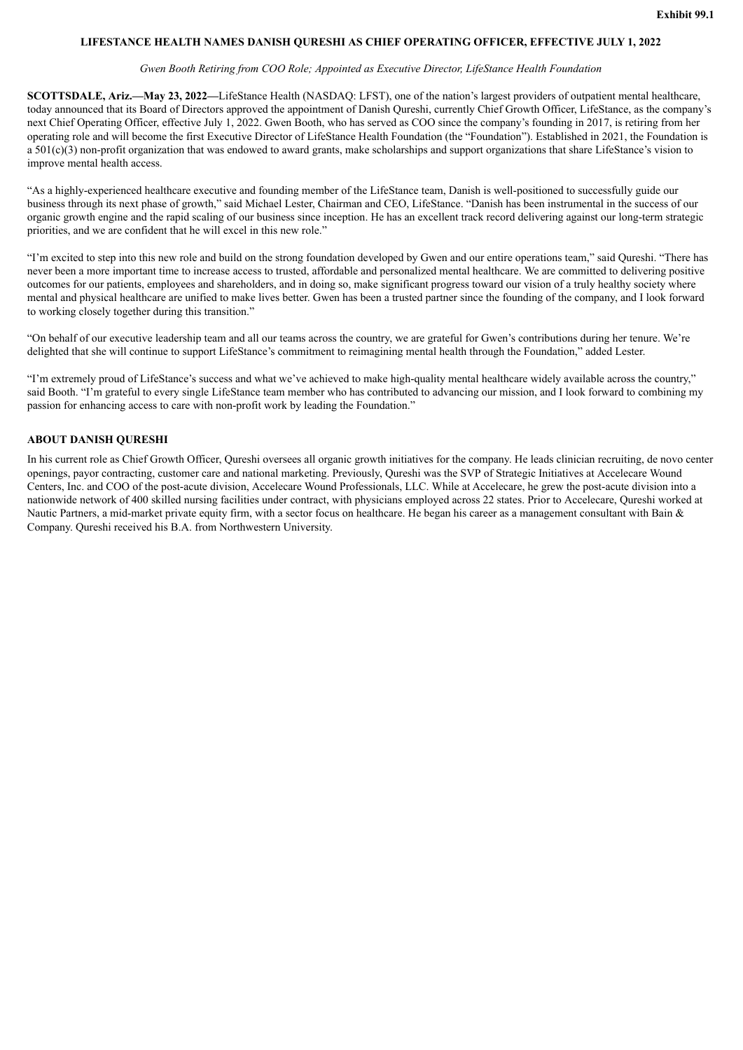#### <span id="page-3-0"></span>**LIFESTANCE HEALTH NAMES DANISH QURESHI AS CHIEF OPERATING OFFICER, EFFECTIVE JULY 1, 2022**

#### *Gwen Booth Retiring from COO Role; Appointed as Executive Director, LifeStance Health Foundation*

**SCOTTSDALE, Ariz.—May 23, 2022—**LifeStance Health (NASDAQ: LFST), one of the nation's largest providers of outpatient mental healthcare, today announced that its Board of Directors approved the appointment of Danish Qureshi, currently Chief Growth Officer, LifeStance, as the company's next Chief Operating Officer, effective July 1, 2022. Gwen Booth, who has served as COO since the company's founding in 2017, is retiring from her operating role and will become the first Executive Director of LifeStance Health Foundation (the "Foundation"). Established in 2021, the Foundation is  $a\ 501(c)(3)$  non-profit organization that was endowed to award grants, make scholarships and support organizations that share LifeStance's vision to improve mental health access.

"As a highly-experienced healthcare executive and founding member of the LifeStance team, Danish is well-positioned to successfully guide our business through its next phase of growth," said Michael Lester, Chairman and CEO, LifeStance. "Danish has been instrumental in the success of our organic growth engine and the rapid scaling of our business since inception. He has an excellent track record delivering against our long-term strategic priorities, and we are confident that he will excel in this new role."

"I'm excited to step into this new role and build on the strong foundation developed by Gwen and our entire operations team," said Qureshi. "There has never been a more important time to increase access to trusted, affordable and personalized mental healthcare. We are committed to delivering positive outcomes for our patients, employees and shareholders, and in doing so, make significant progress toward our vision of a truly healthy society where mental and physical healthcare are unified to make lives better. Gwen has been a trusted partner since the founding of the company, and I look forward to working closely together during this transition."

"On behalf of our executive leadership team and all our teams across the country, we are grateful for Gwen's contributions during her tenure. We're delighted that she will continue to support LifeStance's commitment to reimagining mental health through the Foundation," added Lester.

"I'm extremely proud of LifeStance's success and what we've achieved to make high-quality mental healthcare widely available across the country," said Booth. "I'm grateful to every single LifeStance team member who has contributed to advancing our mission, and I look forward to combining my passion for enhancing access to care with non-profit work by leading the Foundation."

#### **ABOUT DANISH QURESHI**

In his current role as Chief Growth Officer, Qureshi oversees all organic growth initiatives for the company. He leads clinician recruiting, de novo center openings, payor contracting, customer care and national marketing. Previously, Qureshi was the SVP of Strategic Initiatives at Accelecare Wound Centers, Inc. and COO of the post-acute division, Accelecare Wound Professionals, LLC. While at Accelecare, he grew the post-acute division into a nationwide network of 400 skilled nursing facilities under contract, with physicians employed across 22 states. Prior to Accelecare, Qureshi worked at Nautic Partners, a mid-market private equity firm, with a sector focus on healthcare. He began his career as a management consultant with Bain & Company. Qureshi received his B.A. from Northwestern University.